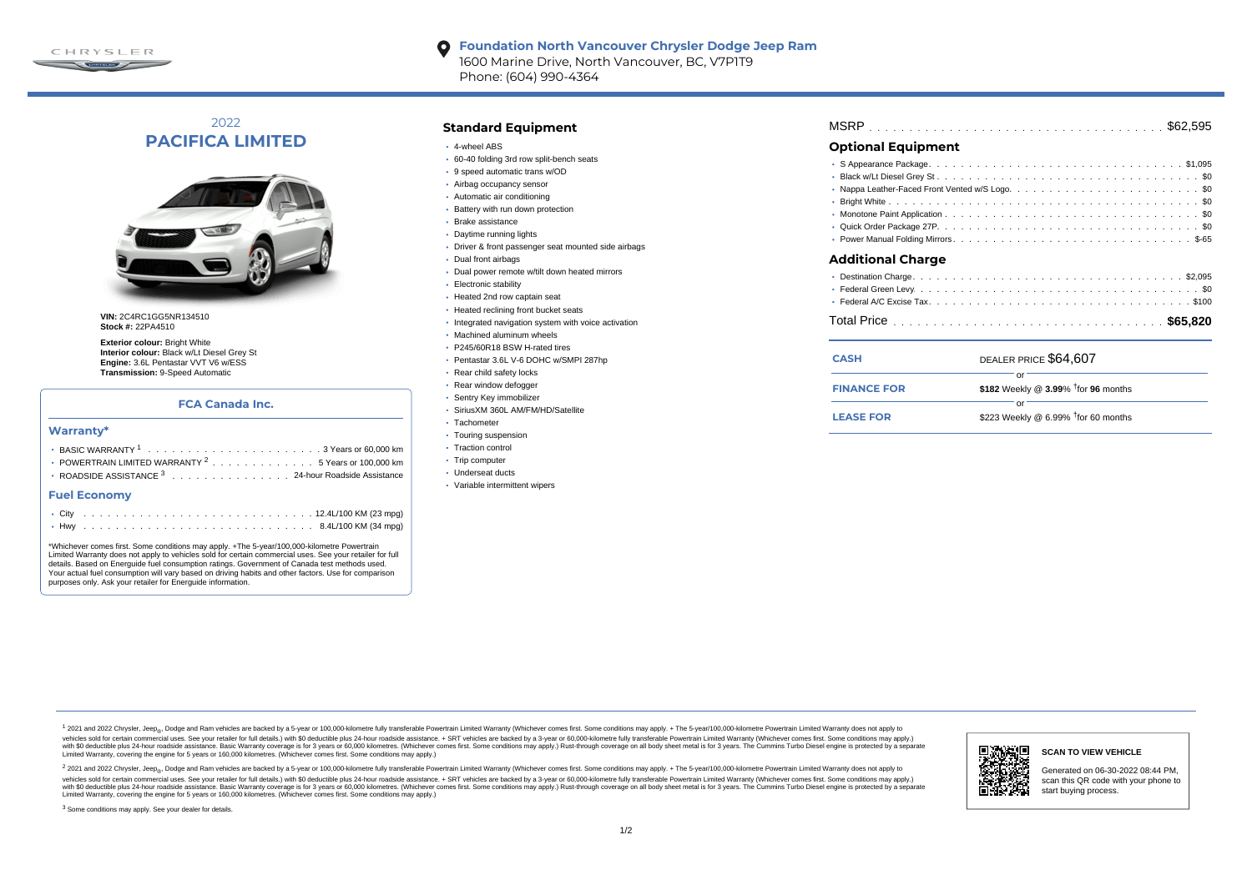

#### **Foundation North Vancouver Chrysler Dodge Jeep Ram**  $\bullet$ 1600 Marine Drive, North Vancouver, BC, V7P1T9

Phone: (604) 990-4364

# 2022 **PACIFICA LIMITED**



**VIN:** 2C4RC1GG5NR134510 **Stock #:** 22PA4510

**Exterior colour:** Bright White **Interior colour:** Black w/Lt Diesel Grey St **Engine:** 3.6L Pentastar VVT V6 w/ESS **Transmission:** 9-Speed Automatic

### **FCA Canada Inc.**

#### **Warranty\***

. . . . . . . . . . . . . . . . . . . . . . . . . . . . . . . . . . . . . . . . . . . BASIC WARRANTY <sup>1</sup> 3 Years or 60,000 km POWERTRAIN LIMITED WARRANTY  $2 \ldots \ldots \ldots \ldots \ldots 5$  Years or 100,000 km ROADSIDE ASSISTANCE 3 . . . . . . . . . . . . . . . 24-hour Roadside Assistance

#### **Fuel Economy**

\*Whichever comes first. Some conditions may apply. +The 5-year/100,000-kilometre Powertrain Limited Warranty does not apply to vehicles sold for certain commercial uses. See your retailer for full details. Based on Energuide fuel consumption ratings. Government of Canada test methods used. Your actual fuel consumption will vary based on driving habits and other factors. Use for comparison purposes only. Ask your retailer for Energuide information.

## **Standard Equipment**

- 4-wheel ABS
- 60-40 folding 3rd row split-bench seats
- 9 speed automatic trans w/OD
- Airbag occupancy sensor
- Automatic air conditioning
- Battery with run down protection
- Brake assistance
- Daytime running lights
- Driver & front passenger seat mounted side airbags
- Dual front airbags
- Dual power remote w/tilt down heated mirrors
- **Electronic stability**
- Heated 2nd row captain seat
- Heated reclining front bucket seats
- Integrated navigation system with voice activation
- Machined aluminum wheels
- P245/60R18 BSW H-rated tires
- Pentastar 3.6L V-6 DOHC w/SMPI 287hp
- Rear child safety locks
- Rear window defogger
- Sentry Key immobilizer
- SiriusXM 360L AM/FM/HD/Satellite
- Tachometer
- Touring suspension
- Traction control
- · Trip computer
- Underseat ducts
- Variable intermittent wipers

## . . . . . . . . . . . . . . . . . . . . . . . . . . . . . . . . . . . . . . . . . . . . . . MSRP \$62,595

## **Optional Equipment**

| Additional Charge              |
|--------------------------------|
| Deaths office Observe<br>0.005 |

| <b>CASH</b>        | DEALER PRICE \$64,607                              |  |  |  |  |  |  |  |
|--------------------|----------------------------------------------------|--|--|--|--|--|--|--|
| <b>FINANCE FOR</b> | \$182 Weekly @ $3.99\%$ <sup>†</sup> for 96 months |  |  |  |  |  |  |  |
| <b>LEASE FOR</b>   | \$223 Weekly @ $6.99\%$ <sup>†</sup> for 60 months |  |  |  |  |  |  |  |

1 2021 and 2022 Chrysler, Jeep<sub>en</sub> Dodge and Ram vehicles are backed by a 5-year or 100,000-kilometre fully transferable Powertrain Limited Warranty (Whichever comes first. Some conditions may apply. + The 5-year/100,000-k debt of the product of the control and season to the control and the control of the control of the control of the control of the control of the SA-hour madside assistance. + SRT vehicles are backed by a 3-year or 60.00-kil ventals and contract when the contract when the contract you contract when the contract when the control of the set of a set of a set of a set of 3 years of 60,000 kilometres. Whichever comes first. Some conditions may app Limited Warranty, covering the engine for 5 years or 160,000 kilometres. (Whichever comes first. Some conditions may apply.)

2 2021 and 2022 Chrysler, Jeep<sub>es</sub> Dodge and Ram vehicles are backed by a 5-year or 100,000-kilometre fully transferable Powertrain Limited Warranty (Whichever comes first. Some conditions may apply. + The 5-year/100,000-k vehicles sold for certain commercial uses. See your retailer for full details.) with SO deductible plus 24-hour roadside assistance. + SRT vehicles are backed by a 3-year or 60.000-kilometre fully transferable Powertrain L with S0 deductible plus 24-hour roadside assistance. Basic Warranty coverage is for 3 years or 60,000 kilometres. (Whichever comes first. Some conditions may apply.) Rust-through coverage on all body sheet metal is for 3 y



**SCAN TO VIEW VEHICLE**

Generated on 06-30-2022 08:44 PM, scan this QR code with your phone to start buying process.

<sup>3</sup> Some conditions may apply. See your dealer for details.